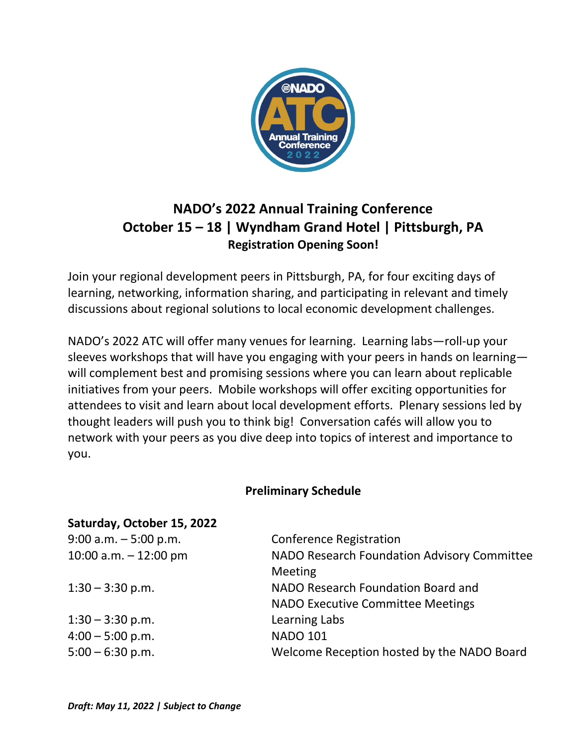

# **NADO's 2022 Annual Training Conference October 15 – 18 | Wyndham Grand Hotel | Pittsburgh, PA Registration Opening Soon!**

Join your regional development peers in Pittsburgh, PA, for four exciting days of learning, networking, information sharing, and participating in relevant and timely discussions about regional solutions to local economic development challenges.

NADO's 2022 ATC will offer many venues for learning. Learning labs—roll-up your sleeves workshops that will have you engaging with your peers in hands on learning will complement best and promising sessions where you can learn about replicable initiatives from your peers. Mobile workshops will offer exciting opportunities for attendees to visit and learn about local development efforts. Plenary sessions led by thought leaders will push you to think big! Conversation cafés will allow you to network with your peers as you dive deep into topics of interest and importance to you.

## **Preliminary Schedule**

### **Saturday, October 15, 2022**

| $9:00$ a.m. $-5:00$ p.m. | <b>Conference Registration</b>              |
|--------------------------|---------------------------------------------|
| 10:00 a.m. $-12:00$ pm   | NADO Research Foundation Advisory Committee |
|                          | Meeting                                     |
| $1:30 - 3:30$ p.m.       | NADO Research Foundation Board and          |
|                          | <b>NADO Executive Committee Meetings</b>    |
| $1:30 - 3:30$ p.m.       | Learning Labs                               |
| $4:00 - 5:00$ p.m.       | <b>NADO 101</b>                             |
| $5:00 - 6:30$ p.m.       | Welcome Reception hosted by the NADO Board  |